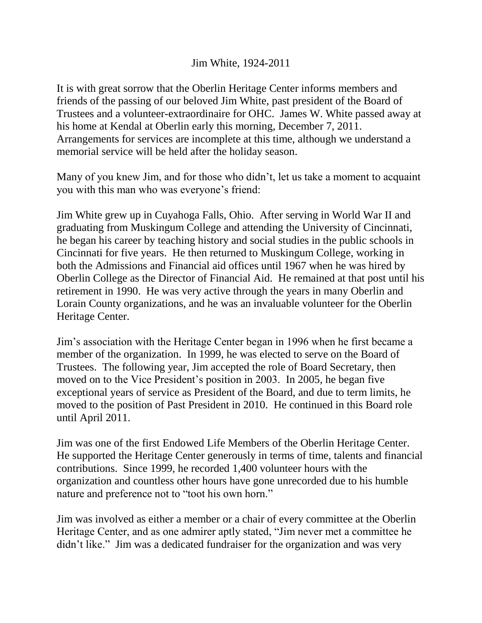## Jim White, 1924-2011

It is with great sorrow that the Oberlin Heritage Center informs members and friends of the passing of our beloved Jim White, past president of the Board of Trustees and a volunteer-extraordinaire for OHC. James W. White passed away at his home at Kendal at Oberlin early this morning, December 7, 2011. Arrangements for services are incomplete at this time, although we understand a memorial service will be held after the holiday season.

Many of you knew Jim, and for those who didn't, let us take a moment to acquaint you with this man who was everyone's friend:

Jim White grew up in Cuyahoga Falls, Ohio. After serving in World War II and graduating from Muskingum College and attending the University of Cincinnati, he began his career by teaching history and social studies in the public schools in Cincinnati for five years. He then returned to Muskingum College, working in both the Admissions and Financial aid offices until 1967 when he was hired by Oberlin College as the Director of Financial Aid. He remained at that post until his retirement in 1990. He was very active through the years in many Oberlin and Lorain County organizations, and he was an invaluable volunteer for the Oberlin Heritage Center.

Jim's association with the Heritage Center began in 1996 when he first became a member of the organization. In 1999, he was elected to serve on the Board of Trustees. The following year, Jim accepted the role of Board Secretary, then moved on to the Vice President's position in 2003. In 2005, he began five exceptional years of service as President of the Board, and due to term limits, he moved to the position of Past President in 2010. He continued in this Board role until April 2011.

Jim was one of the first Endowed Life Members of the Oberlin Heritage Center. He supported the Heritage Center generously in terms of time, talents and financial contributions. Since 1999, he recorded 1,400 volunteer hours with the organization and countless other hours have gone unrecorded due to his humble nature and preference not to "toot his own horn."

Jim was involved as either a member or a chair of every committee at the Oberlin Heritage Center, and as one admirer aptly stated, "Jim never met a committee he didn't like." Jim was a dedicated fundraiser for the organization and was very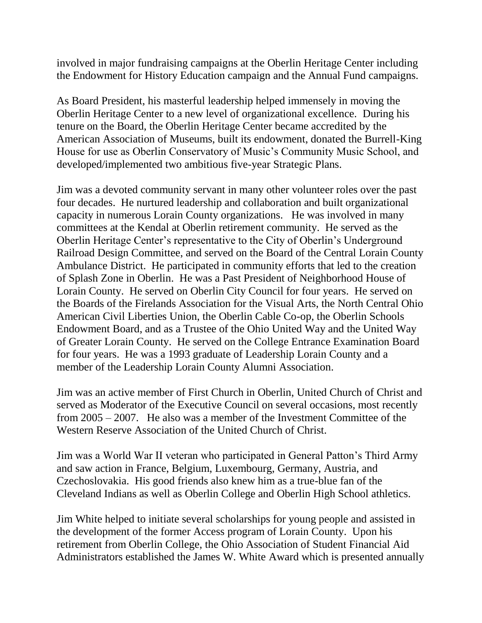involved in major fundraising campaigns at the Oberlin Heritage Center including the Endowment for History Education campaign and the Annual Fund campaigns.

As Board President, his masterful leadership helped immensely in moving the Oberlin Heritage Center to a new level of organizational excellence. During his tenure on the Board, the Oberlin Heritage Center became accredited by the American Association of Museums, built its endowment, donated the Burrell-King House for use as Oberlin Conservatory of Music's Community Music School, and developed/implemented two ambitious five-year Strategic Plans.

Jim was a devoted community servant in many other volunteer roles over the past four decades. He nurtured leadership and collaboration and built organizational capacity in numerous Lorain County organizations. He was involved in many committees at the Kendal at Oberlin retirement community. He served as the Oberlin Heritage Center's representative to the City of Oberlin's Underground Railroad Design Committee, and served on the Board of the Central Lorain County Ambulance District. He participated in community efforts that led to the creation of Splash Zone in Oberlin. He was a Past President of Neighborhood House of Lorain County. He served on Oberlin City Council for four years. He served on the Boards of the Firelands Association for the Visual Arts, the North Central Ohio American Civil Liberties Union, the Oberlin Cable Co-op, the Oberlin Schools Endowment Board, and as a Trustee of the Ohio United Way and the United Way of Greater Lorain County. He served on the College Entrance Examination Board for four years. He was a 1993 graduate of Leadership Lorain County and a member of the Leadership Lorain County Alumni Association.

Jim was an active member of First Church in Oberlin, United Church of Christ and served as Moderator of the Executive Council on several occasions, most recently from 2005 – 2007. He also was a member of the Investment Committee of the Western Reserve Association of the United Church of Christ.

Jim was a World War II veteran who participated in General Patton's Third Army and saw action in France, Belgium, Luxembourg, Germany, Austria, and Czechoslovakia. His good friends also knew him as a true-blue fan of the Cleveland Indians as well as Oberlin College and Oberlin High School athletics.

Jim White helped to initiate several scholarships for young people and assisted in the development of the former Access program of Lorain County. Upon his retirement from Oberlin College, the Ohio Association of Student Financial Aid Administrators established the James W. White Award which is presented annually